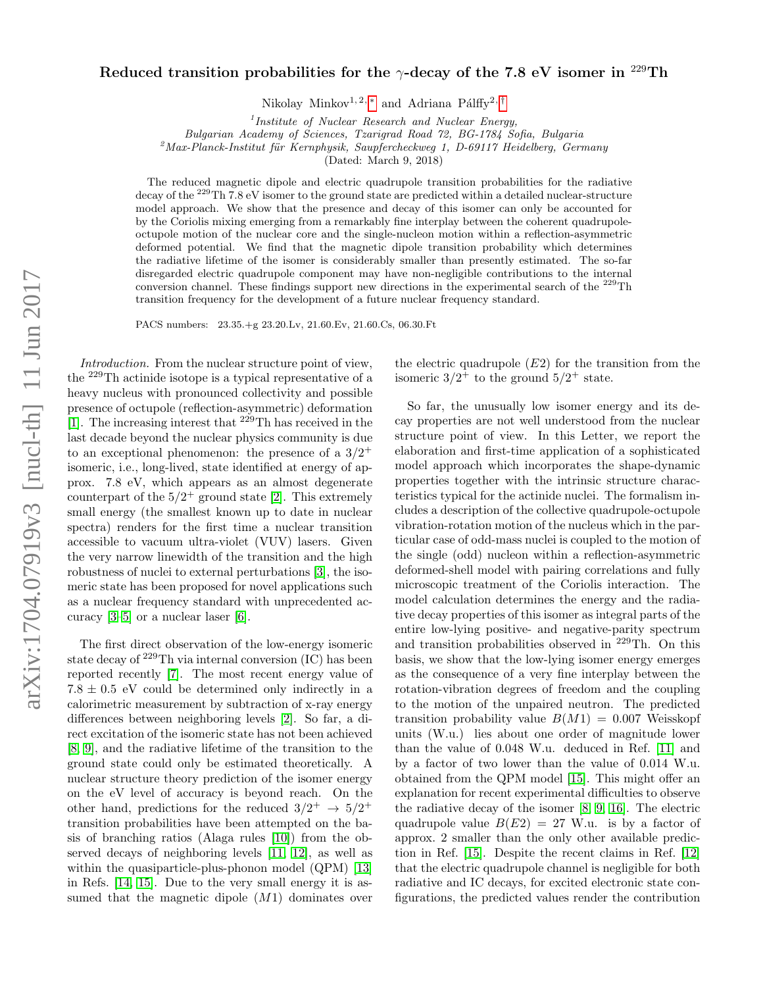## arXiv:1704.07919v3 [nucl-th] 11 Jun 2017 arXiv:1704.07919v3 [nucl-th] 11 Jun 2017

## Reduced transition probabilities for the  $\gamma$ -decay of the 7.8 eV isomer in <sup>229</sup>Th

Nikolay Minkov<sup>1, 2, \*</sup> and Adriana Pálffy<sup>2, [†](#page-4-1)</sup>

<sup>1</sup>Institute of Nuclear Research and Nuclear Energy,

Bulgarian Academy of Sciences, Tzarigrad Road 72, BG-1784 Sofia, Bulgaria

 $^{2}$ Max-Planck-Institut für Kernphysik, Saupfercheckweg 1, D-69117 Heidelberg, Germany

(Dated: March 9, 2018)

The reduced magnetic dipole and electric quadrupole transition probabilities for the radiative decay of the <sup>229</sup>Th 7.8 eV isomer to the ground state are predicted within a detailed nuclear-structure model approach. We show that the presence and decay of this isomer can only be accounted for by the Coriolis mixing emerging from a remarkably fine interplay between the coherent quadrupoleoctupole motion of the nuclear core and the single-nucleon motion within a reflection-asymmetric deformed potential. We find that the magnetic dipole transition probability which determines the radiative lifetime of the isomer is considerably smaller than presently estimated. The so-far disregarded electric quadrupole component may have non-negligible contributions to the internal conversion channel. These findings support new directions in the experimental search of the <sup>229</sup>Th transition frequency for the development of a future nuclear frequency standard.

PACS numbers: 23.35.+g 23.20.Lv, 21.60.Ev, 21.60.Cs, 06.30.Ft

Introduction. From the nuclear structure point of view, the <sup>229</sup>Th actinide isotope is a typical representative of a heavy nucleus with pronounced collectivity and possible presence of octupole (reflection-asymmetric) deformation [\[1\]](#page-4-2). The increasing interest that <sup>229</sup>Th has received in the last decade beyond the nuclear physics community is due to an exceptional phenomenon: the presence of a  $3/2^+$ isomeric, i.e., long-lived, state identified at energy of approx. 7.8 eV, which appears as an almost degenerate counterpart of the  $5/2^+$  ground state [\[2\]](#page-4-3). This extremely small energy (the smallest known up to date in nuclear spectra) renders for the first time a nuclear transition accessible to vacuum ultra-violet (VUV) lasers. Given the very narrow linewidth of the transition and the high robustness of nuclei to external perturbations [\[3\]](#page-4-4), the isomeric state has been proposed for novel applications such as a nuclear frequency standard with unprecedented accuracy [\[3–](#page-4-4)[5\]](#page-4-5) or a nuclear laser [\[6\]](#page-4-6).

The first direct observation of the low-energy isomeric state decay of <sup>229</sup>Th via internal conversion (IC) has been reported recently [\[7\]](#page-4-7). The most recent energy value of  $7.8 \pm 0.5$  eV could be determined only indirectly in a calorimetric measurement by subtraction of x-ray energy differences between neighboring levels [\[2\]](#page-4-3). So far, a direct excitation of the isomeric state has not been achieved [\[8,](#page-4-8) [9\]](#page-4-9), and the radiative lifetime of the transition to the ground state could only be estimated theoretically. A nuclear structure theory prediction of the isomer energy on the eV level of accuracy is beyond reach. On the other hand, predictions for the reduced  $3/2^+ \rightarrow 5/2^+$ transition probabilities have been attempted on the basis of branching ratios (Alaga rules [\[10\]](#page-4-10)) from the observed decays of neighboring levels [\[11,](#page-4-11) [12\]](#page-4-12), as well as within the quasiparticle-plus-phonon model (QPM) [\[13\]](#page-4-13) in Refs. [\[14,](#page-4-14) [15\]](#page-4-15). Due to the very small energy it is assumed that the magnetic dipole  $(M1)$  dominates over the electric quadrupole  $(E2)$  for the transition from the isomeric  $3/2^+$  to the ground  $5/2^+$  state.

So far, the unusually low isomer energy and its decay properties are not well understood from the nuclear structure point of view. In this Letter, we report the elaboration and first-time application of a sophisticated model approach which incorporates the shape-dynamic properties together with the intrinsic structure characteristics typical for the actinide nuclei. The formalism includes a description of the collective quadrupole-octupole vibration-rotation motion of the nucleus which in the particular case of odd-mass nuclei is coupled to the motion of the single (odd) nucleon within a reflection-asymmetric deformed-shell model with pairing correlations and fully microscopic treatment of the Coriolis interaction. The model calculation determines the energy and the radiative decay properties of this isomer as integral parts of the entire low-lying positive- and negative-parity spectrum and transition probabilities observed in <sup>229</sup>Th. On this basis, we show that the low-lying isomer energy emerges as the consequence of a very fine interplay between the rotation-vibration degrees of freedom and the coupling to the motion of the unpaired neutron. The predicted transition probability value  $B(M1) = 0.007$  Weisskopf units (W.u.) lies about one order of magnitude lower than the value of 0.048 W.u. deduced in Ref. [\[11\]](#page-4-11) and by a factor of two lower than the value of 0.014 W.u. obtained from the QPM model [\[15\]](#page-4-15). This might offer an explanation for recent experimental difficulties to observe the radiative decay of the isomer [\[8,](#page-4-8) [9,](#page-4-9) [16\]](#page-4-16). The electric quadrupole value  $B(E2) = 27$  W.u. is by a factor of approx. 2 smaller than the only other available prediction in Ref. [\[15\]](#page-4-15). Despite the recent claims in Ref. [\[12\]](#page-4-12) that the electric quadrupole channel is negligible for both radiative and IC decays, for excited electronic state configurations, the predicted values render the contribution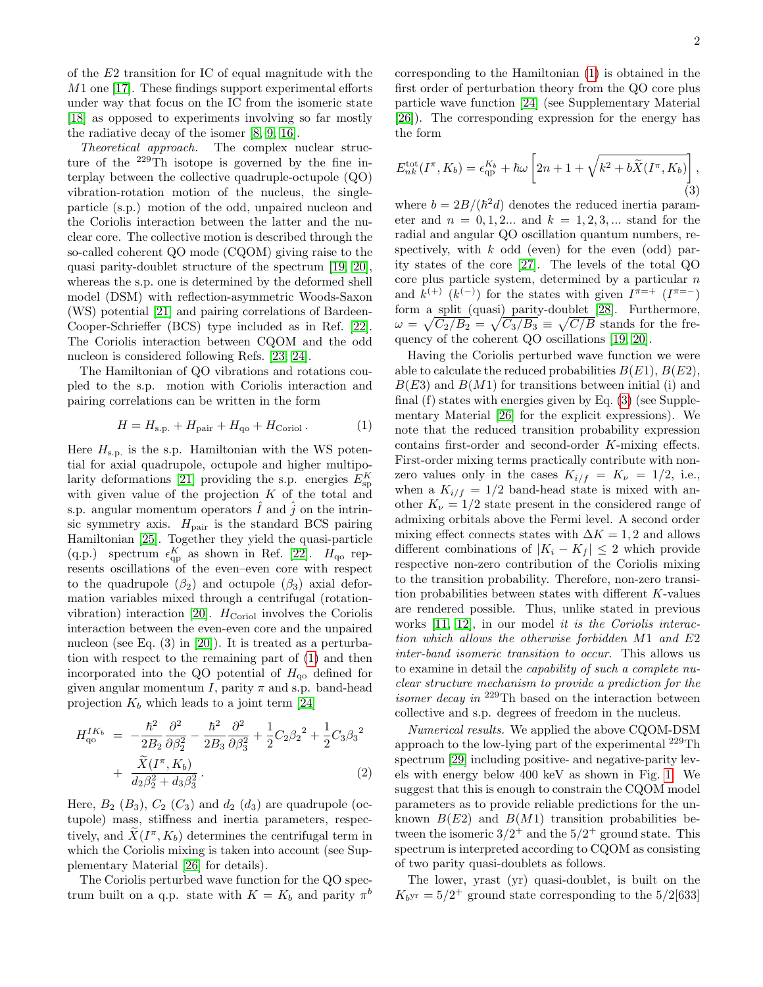2

of the E2 transition for IC of equal magnitude with the M1 one [\[17\]](#page-4-17). These findings support experimental efforts under way that focus on the IC from the isomeric state [\[18\]](#page-4-18) as opposed to experiments involving so far mostly the radiative decay of the isomer [\[8,](#page-4-8) [9,](#page-4-9) [16\]](#page-4-16).

Theoretical approach. The complex nuclear structure of the  $229$ Th isotope is governed by the fine interplay between the collective quadruple-octupole (QO) vibration-rotation motion of the nucleus, the singleparticle (s.p.) motion of the odd, unpaired nucleon and the Coriolis interaction between the latter and the nuclear core. The collective motion is described through the so-called coherent QO mode (CQOM) giving raise to the quasi parity-doublet structure of the spectrum [\[19,](#page-4-19) [20\]](#page-4-20), whereas the s.p. one is determined by the deformed shell model (DSM) with reflection-asymmetric Woods-Saxon (WS) potential [\[21\]](#page-4-21) and pairing correlations of Bardeen-Cooper-Schrieffer (BCS) type included as in Ref. [\[22\]](#page-4-22). The Coriolis interaction between CQOM and the odd nucleon is considered following Refs. [\[23,](#page-4-23) [24\]](#page-4-24).

The Hamiltonian of QO vibrations and rotations coupled to the s.p. motion with Coriolis interaction and pairing correlations can be written in the form

<span id="page-1-0"></span>
$$
H = Hs.p. + Hpair + Hqo + HCoriol.
$$
 (1)

Here  $H_{s,p}$  is the s.p. Hamiltonian with the WS potential for axial quadrupole, octupole and higher multipo-larity deformations [\[21\]](#page-4-21) providing the s.p. energies  $E_{\text{sp}}^K$ with given value of the projection  $K$  of the total and s.p. angular momentum operators  $\hat{I}$  and  $\hat{j}$  on the intrinsic symmetry axis.  $H_{\text{pair}}$  is the standard BCS pairing Hamiltonian [\[25\]](#page-4-25). Together they yield the quasi-particle (q.p.) spectrum  $\epsilon_{\rm qp}^K$  as shown in Ref. [\[22\]](#page-4-22).  $H_{\rm qo}$  represents oscillations of the even–even core with respect to the quadrupole  $(\beta_2)$  and octupole  $(\beta_3)$  axial deformation variables mixed through a centrifugal (rotation-vibration) interaction [\[20\]](#page-4-20).  $H_{\text{Coriol}}$  involves the Coriolis interaction between the even-even core and the unpaired nucleon (see Eq. (3) in [\[20\]](#page-4-20)). It is treated as a perturbation with respect to the remaining part of [\(1\)](#page-1-0) and then incorporated into the QO potential of  $H_{\alpha}$  defined for given angular momentum I, parity  $\pi$  and s.p. band-head projection  $K_b$  which leads to a joint term [\[24\]](#page-4-24)

<span id="page-1-2"></span>
$$
H_{\text{qo}}^{IK_b} = -\frac{\hbar^2}{2B_2} \frac{\partial^2}{\partial \beta_2^2} - \frac{\hbar^2}{2B_3} \frac{\partial^2}{\partial \beta_3^2} + \frac{1}{2} C_2 {\beta_2}^2 + \frac{1}{2} C_3 {\beta_3}^2 + \frac{\tilde{X}(I^{\pi}, K_b)}{d_2 \beta_2^2 + d_3 \beta_3^2}.
$$
 (2)

Here,  $B_2$  ( $B_3$ ),  $C_2$  ( $C_3$ ) and  $d_2$  ( $d_3$ ) are quadrupole (octupole) mass, stiffness and inertia parameters, respectively, and  $\widetilde{X}(I^{\pi}, K_b)$  determines the centrifugal term in which the Coriolis mixing is taken into account (see Supplementary Material [\[26\]](#page-4-26) for details).

The Coriolis perturbed wave function for the QO spectrum built on a q.p. state with  $K = K_b$  and parity  $\pi^b$ 

corresponding to the Hamiltonian [\(1\)](#page-1-0) is obtained in the first order of perturbation theory from the QO core plus particle wave function [\[24\]](#page-4-24) (see Supplementary Material [\[26\]](#page-4-26)). The corresponding expression for the energy has the form

<span id="page-1-1"></span>
$$
E_{nk}^{\text{tot}}(I^{\pi}, K_b) = \epsilon_{\text{qp}}^{K_b} + \hbar \omega \left[2n + 1 + \sqrt{k^2 + b\widetilde{X}(I^{\pi}, K_b)}\right],\tag{3}
$$

where  $b = 2B/(\hbar^2 d)$  denotes the reduced inertia parameter and  $n = 0, 1, 2...$  and  $k = 1, 2, 3,...$  stand for the radial and angular QO oscillation quantum numbers, respectively, with  $k$  odd (even) for the even (odd) parity states of the core [\[27\]](#page-4-27). The levels of the total QO core plus particle system, determined by a particular  $n$ and  $k^{(+)}$  ( $k^{(-)}$ ) for the states with given  $I^{\pi=+}$  ( $I^{\pi=-}$ ) form a split (quasi) parity-doublet [\[28\]](#page-4-28). Furthermore,  $\omega = \sqrt{C_2/B_2} = \sqrt{C_3/B_3} \equiv \sqrt{C/B}$  stands for the frequency of the coherent QO oscillations [\[19,](#page-4-19) [20\]](#page-4-20).

Having the Coriolis perturbed wave function we were able to calculate the reduced probabilities  $B(E1)$ ,  $B(E2)$ ,  $B(E3)$  and  $B(M1)$  for transitions between initial (i) and final (f) states with energies given by Eq. [\(3\)](#page-1-1) (see Supplementary Material [\[26\]](#page-4-26) for the explicit expressions). We note that the reduced transition probability expression contains first-order and second-order K-mixing effects. First-order mixing terms practically contribute with nonzero values only in the cases  $K_{i/f} = K_{\nu} = 1/2$ , i.e., when a  $K_{i/f} = 1/2$  band-head state is mixed with another  $K_{\nu} = 1/2$  state present in the considered range of admixing orbitals above the Fermi level. A second order mixing effect connects states with  $\Delta K = 1, 2$  and allows different combinations of  $|K_i - K_f| \leq 2$  which provide respective non-zero contribution of the Coriolis mixing to the transition probability. Therefore, non-zero transition probabilities between states with different K-values are rendered possible. Thus, unlike stated in previous works [\[11,](#page-4-11) [12\]](#page-4-12), in our model *it is the Coriolis interac*tion which allows the otherwise forbidden M1 and E2 inter-band isomeric transition to occur. This allows us to examine in detail the capability of such a complete nuclear structure mechanism to provide a prediction for the *isomer decay in*  $^{229}$ Th based on the interaction between collective and s.p. degrees of freedom in the nucleus.

Numerical results. We applied the above CQOM-DSM approach to the low-lying part of the experimental <sup>229</sup>Th spectrum [\[29\]](#page-4-29) including positive- and negative-parity levels with energy below 400 keV as shown in Fig. [1.](#page-2-0) We suggest that this is enough to constrain the CQOM model parameters as to provide reliable predictions for the unknown  $B(E2)$  and  $B(M1)$  transition probabilities between the isomeric  $3/2^+$  and the  $5/2^+$  ground state. This spectrum is interpreted according to CQOM as consisting of two parity quasi-doublets as follows.

The lower, yrast (yr) quasi-doublet, is built on the  $K_{bY}$ r = 5/2<sup>+</sup> ground state corresponding to the 5/2[633]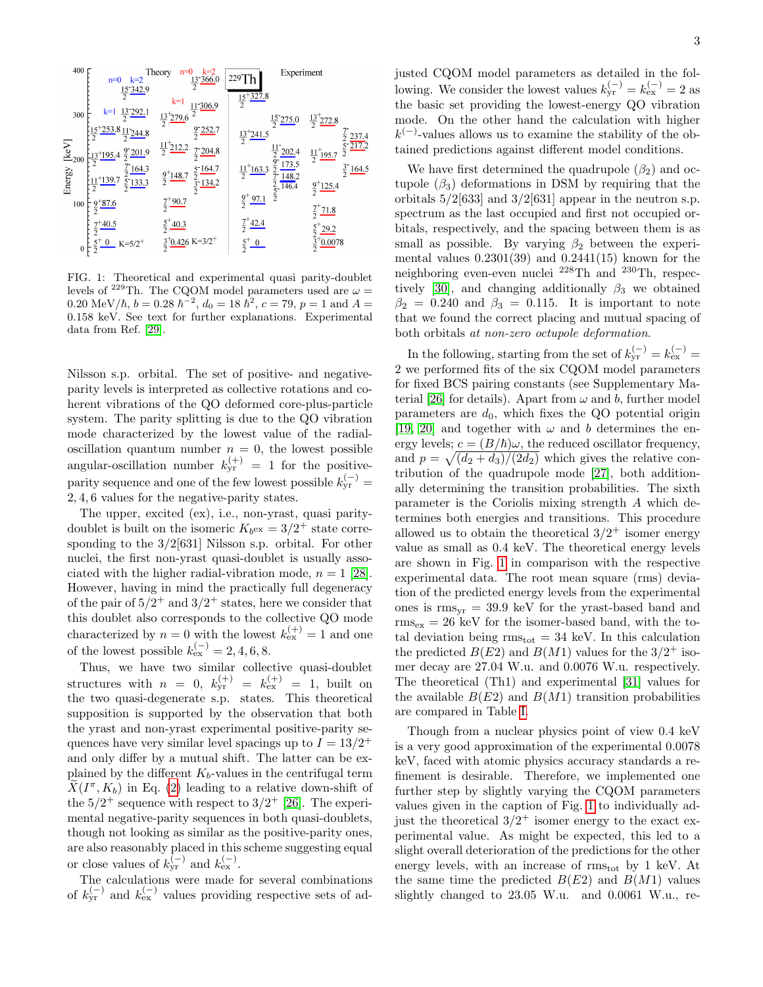

<span id="page-2-0"></span>FIG. 1: Theoretical and experimental quasi parity-doublet levels of  $^{229}\mathrm{Th}.$  The CQOM model parameters used are  $\omega=$ 0.20 MeV/ $\hbar$ ,  $b = 0.28 \; \hbar^{-2}$ ,  $d_0 = 18 \; \hbar^2$ ,  $c = 79$ ,  $p = 1$  and  $A =$ 0.158 keV. See text for further explanations. Experimental data from Ref. [\[29\]](#page-4-29).

Nilsson s.p. orbital. The set of positive- and negativeparity levels is interpreted as collective rotations and coherent vibrations of the QO deformed core-plus-particle system. The parity splitting is due to the QO vibration mode characterized by the lowest value of the radialoscillation quantum number  $n = 0$ , the lowest possible angular-oscillation number  $k_{\text{yr}}^{(+)} = 1$  for the positiveparity sequence and one of the few lowest possible  $k_{\text{yr}}^{(-)}$  = 2, 4, 6 values for the negative-parity states.

The upper, excited (ex), i.e., non-yrast, quasi paritydoublet is built on the isomeric  $K_{b} = 3/2^{+}$  state corresponding to the 3/2[631] Nilsson s.p. orbital. For other nuclei, the first non-yrast quasi-doublet is usually associated with the higher radial-vibration mode,  $n = 1$  [\[28\]](#page-4-28). However, having in mind the practically full degeneracy of the pair of  $5/2^+$  and  $3/2^+$  states, here we consider that this doublet also corresponds to the collective QO mode characterized by  $n = 0$  with the lowest  $k_{ex}^{(+)} = 1$  and one of the lowest possible  $k_{\text{ex}}^{(-)} = 2, 4, 6, 8$ .

Thus, we have two similar collective quasi-doublet structures with  $n = 0$ ,  $k_{\text{yr}}^{(+)} = k_{\text{ex}}^{(+)} = 1$ , built on the two quasi-degenerate s.p. states. This theoretical supposition is supported by the observation that both the yrast and non-yrast experimental positive-parity sequences have very similar level spacings up to  $I = 13/2^+$ and only differ by a mutual shift. The latter can be explained by the different  $K_b$ -values in the centrifugal term  $\tilde{X}(I^{\pi}, K_b)$  in Eq. [\(2\)](#page-1-2) leading to a relative down-shift of the  $5/2^+$  sequence with respect to  $3/2^+$  [\[26\]](#page-4-26). The experimental negative-parity sequences in both quasi-doublets, though not looking as similar as the positive-parity ones, are also reasonably placed in this scheme suggesting equal or close values of  $k_{\text{yr}}^{(-)}$  and  $k_{\text{ex}}^{(-)}$ .

The calculations were made for several combinations of  $k_{\text{yr}}^{(-)}$  and  $k_{\text{ex}}^{(-)}$  values providing respective sets of adjusted CQOM model parameters as detailed in the following. We consider the lowest values  $k_{\text{yr}}^{(-)} = k_{\text{ex}}^{(-)} = 2$  as the basic set providing the lowest-energy QO vibration mode. On the other hand the calculation with higher  $k^{(-)}$ -values allows us to examine the stability of the obtained predictions against different model conditions.

We have first determined the quadrupole  $(\beta_2)$  and octupole  $(\beta_3)$  deformations in DSM by requiring that the orbitals  $5/2[633]$  and  $3/2[631]$  appear in the neutron s.p. spectrum as the last occupied and first not occupied orbitals, respectively, and the spacing between them is as small as possible. By varying  $\beta_2$  between the experimental values  $0.2301(39)$  and  $0.2441(15)$  known for the neighboring even-even nuclei <sup>228</sup>Th and <sup>230</sup>Th, respec-tively [\[30\]](#page-4-30), and changing additionally  $\beta_3$  we obtained  $\beta_2 = 0.240$  and  $\beta_3 = 0.115$ . It is important to note that we found the correct placing and mutual spacing of both orbitals at non-zero octupole deformation.

In the following, starting from the set of  $k_{\text{yr}}^{(-)} = k_{\text{ex}}^{(-)} =$ 2 we performed fits of the six CQOM model parameters for fixed BCS pairing constants (see Supplementary Ma-terial [\[26\]](#page-4-26) for details). Apart from  $\omega$  and b, further model parameters are  $d_0$ , which fixes the QO potential origin [\[19,](#page-4-19) [20\]](#page-4-20) and together with  $\omega$  and b determines the energy levels;  $c = (B/\hbar)\omega$ , the reduced oscillator frequency, and  $p = \sqrt{\frac{d_2 + d_3}{2d_2}}$  which gives the relative contribution of the quadrupole mode [\[27\]](#page-4-27), both additionally determining the transition probabilities. The sixth parameter is the Coriolis mixing strength A which determines both energies and transitions. This procedure allowed us to obtain the theoretical  $3/2^+$  isomer energy value as small as 0.4 keV. The theoretical energy levels are shown in Fig. [1](#page-2-0) in comparison with the respective experimental data. The root mean square (rms) deviation of the predicted energy levels from the experimental ones is  $\text{rms}_{\text{vr}} = 39.9 \text{ keV}$  for the yrast-based band and  $rms_{ex} = 26 \text{ keV}$  for the isomer-based band, with the total deviation being  $\text{rms}_{\text{tot}} = 34 \text{ keV}$ . In this calculation the predicted  $B(E2)$  and  $B(M1)$  values for the  $3/2^+$  isomer decay are 27.04 W.u. and 0.0076 W.u. respectively. The theoretical (Th1) and experimental [\[31\]](#page-4-31) values for the available  $B(E2)$  and  $B(M1)$  transition probabilities are compared in Table [I.](#page-3-0)

Though from a nuclear physics point of view 0.4 keV is a very good approximation of the experimental 0.0078 keV, faced with atomic physics accuracy standards a refinement is desirable. Therefore, we implemented one further step by slightly varying the CQOM parameters values given in the caption of Fig. [1](#page-2-0) to individually adjust the theoretical  $3/2^+$  isomer energy to the exact experimental value. As might be expected, this led to a slight overall deterioration of the predictions for the other energy levels, with an increase of  $\rm rms_{tot}$  by 1 keV. At the same time the predicted  $B(E2)$  and  $B(M1)$  values slightly changed to 23.05 W.u. and 0.0061 W.u., re-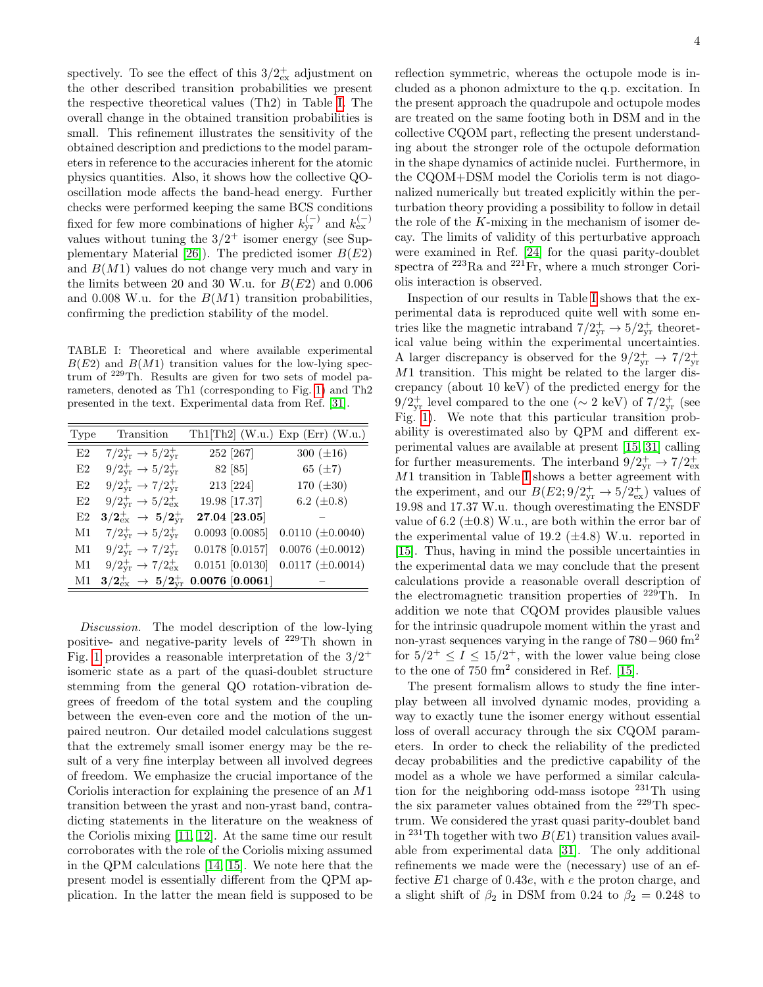spectively. To see the effect of this  $3/2^+_{\text{ex}}$  adjustment on the other described transition probabilities we present the respective theoretical values (Th2) in Table [I.](#page-3-0) The overall change in the obtained transition probabilities is small. This refinement illustrates the sensitivity of the obtained description and predictions to the model parameters in reference to the accuracies inherent for the atomic physics quantities. Also, it shows how the collective QOoscillation mode affects the band-head energy. Further checks were performed keeping the same BCS conditions fixed for few more combinations of higher  $k_{\text{yr}}^{(-)}$  and  $k_{\text{ex}}^{(-)}$ values without tuning the  $3/2^+$  isomer energy (see Sup-plementary Material [\[26\]](#page-4-26)). The predicted isomer  $B(E2)$ and  $B(M1)$  values do not change very much and vary in the limits between 20 and 30 W.u. for  $B(E2)$  and 0.006 and 0.008 W.u. for the  $B(M1)$  transition probabilities, confirming the prediction stability of the model.

<span id="page-3-0"></span>TABLE I: Theoretical and where available experimental  $B(E2)$  and  $B(M1)$  transition values for the low-lying spectrum of <sup>229</sup>Th. Results are given for two sets of model parameters, denoted as Th1 (corresponding to Fig. [1\)](#page-2-0) and Th2 presented in the text. Experimental data from Ref. [\[31\]](#page-4-31).

| Type | Transition                                        |                     | Th1[Th2] (W.u.) Exp (Err) (W.u.) |
|------|---------------------------------------------------|---------------------|----------------------------------|
| E2   | $7/2^+_{vr} \rightarrow 5/2^+_{vr}$               | 252 [267]           | 300 $(\pm 16)$                   |
| E2   | $9/2^{+}_{vr} \rightarrow 5/2^{+}_{vr}$           | 82 [85]             | 65 $(\pm 7)$                     |
| E2   | $9/2_{vr}^+ \rightarrow 7/2_{vr}^+$               | 213 [224]           | 170 $(\pm 30)$                   |
| E2   | $9/2_{\rm vr}^+ \rightarrow 5/2_{\rm ex}^+$       | 19.98 [17.37]       | 6.2 $(\pm 0.8)$                  |
| E2   | $3/2^+_\mathrm{ex} \rightarrow 5/2^+_\mathrm{vr}$ | 27.04 [23.05]       |                                  |
| M1   | $7/2_{\rm yr}^+ \rightarrow 5/2_{\rm vr}^+$       | $0.0093$ [0.0085]   | $0.0110 \ (\pm 0.0040)$          |
| M1   | $9/2_{vr}^+ \rightarrow 7/2_{vr}^+$               | $0.0178$ [0.0157]   | $0.0076 \ (\pm 0.0012)$          |
| M1   | $9/2_{\rm vr}^+ \rightarrow 7/2_{\rm ex}^+$       | $0.0151$ $[0.0130]$ | $0.0117 \ (\pm 0.0014)$          |
| Μ1   | $3/2^+_\mathrm{ex} \; \to \; 5/2^+_\mathrm{vr}$   | $0.0076$ [0.0061]   |                                  |

Discussion. The model description of the low-lying positive- and negative-parity levels of <sup>229</sup>Th shown in Fig. [1](#page-2-0) provides a reasonable interpretation of the  $3/2^+$ isomeric state as a part of the quasi-doublet structure stemming from the general QO rotation-vibration degrees of freedom of the total system and the coupling between the even-even core and the motion of the unpaired neutron. Our detailed model calculations suggest that the extremely small isomer energy may be the result of a very fine interplay between all involved degrees of freedom. We emphasize the crucial importance of the Coriolis interaction for explaining the presence of an M1 transition between the yrast and non-yrast band, contradicting statements in the literature on the weakness of the Coriolis mixing [\[11,](#page-4-11) [12\]](#page-4-12). At the same time our result corroborates with the role of the Coriolis mixing assumed in the QPM calculations [\[14,](#page-4-14) [15\]](#page-4-15). We note here that the present model is essentially different from the QPM application. In the latter the mean field is supposed to be

reflection symmetric, whereas the octupole mode is included as a phonon admixture to the q.p. excitation. In the present approach the quadrupole and octupole modes are treated on the same footing both in DSM and in the collective CQOM part, reflecting the present understanding about the stronger role of the octupole deformation in the shape dynamics of actinide nuclei. Furthermore, in the CQOM+DSM model the Coriolis term is not diagonalized numerically but treated explicitly within the perturbation theory providing a possibility to follow in detail the role of the K-mixing in the mechanism of isomer decay. The limits of validity of this perturbative approach were examined in Ref. [\[24\]](#page-4-24) for the quasi parity-doublet spectra of  $^{223}$ Ra and  $^{221}$ Fr, where a much stronger Coriolis interaction is observed.

Inspection of our results in Table [I](#page-3-0) shows that the experimental data is reproduced quite well with some entries like the magnetic intraband  $7/2_{\text{yr}}^+ \rightarrow 5/2_{\text{yr}}^+$  theoretical value being within the experimental uncertainties. A larger discrepancy is observed for the  $9/2_{\rm yr}^+ \rightarrow 7/2_{\rm yr}^+$ M1 transition. This might be related to the larger discrepancy (about 10 keV) of the predicted energy for the 9/2<sup>+</sup><sub>yr</sub> level compared to the one (∼ 2 keV) of  $7/2<sup>+</sup><sub>yr</sub>$  (see Fig. [1\)](#page-2-0). We note that this particular transition probability is overestimated also by QPM and different experimental values are available at present [\[15,](#page-4-15) [31\]](#page-4-31) calling for further measurements. The interband  $9/2_{\text{yr}}^+ \rightarrow 7/2_{\text{ex}}^+$  $M1$  transition in Table [I](#page-3-0) shows a better agreement with the experiment, and our  $B(E2; 9/2_{\text{yr}}^+ \rightarrow 5/2_{\text{ex}}^+)$  values of 19.98 and 17.37 W.u. though overestimating the ENSDF value of 6.2 ( $\pm$ 0.8) W.u., are both within the error bar of the experimental value of 19.2  $(\pm 4.8)$  W.u. reported in [\[15\]](#page-4-15). Thus, having in mind the possible uncertainties in the experimental data we may conclude that the present calculations provide a reasonable overall description of the electromagnetic transition properties of <sup>229</sup>Th. In addition we note that CQOM provides plausible values for the intrinsic quadrupole moment within the yrast and non-yrast sequences varying in the range of  $780-960$  fm<sup>2</sup> for  $5/2^+ \leq I \leq 15/2^+$ , with the lower value being close to the one of 750 fm<sup>2</sup> considered in Ref. [\[15\]](#page-4-15).

The present formalism allows to study the fine interplay between all involved dynamic modes, providing a way to exactly tune the isomer energy without essential loss of overall accuracy through the six CQOM parameters. In order to check the reliability of the predicted decay probabilities and the predictive capability of the model as a whole we have performed a similar calculation for the neighboring odd-mass isotope  $^{231}$ Th using the six parameter values obtained from the <sup>229</sup>Th spectrum. We considered the yrast quasi parity-doublet band in <sup>231</sup>Th together with two  $B(E1)$  transition values available from experimental data [\[31\]](#page-4-31). The only additional refinements we made were the (necessary) use of an effective E1 charge of 0.43e, with e the proton charge, and a slight shift of  $\beta_2$  in DSM from 0.24 to  $\beta_2 = 0.248$  to